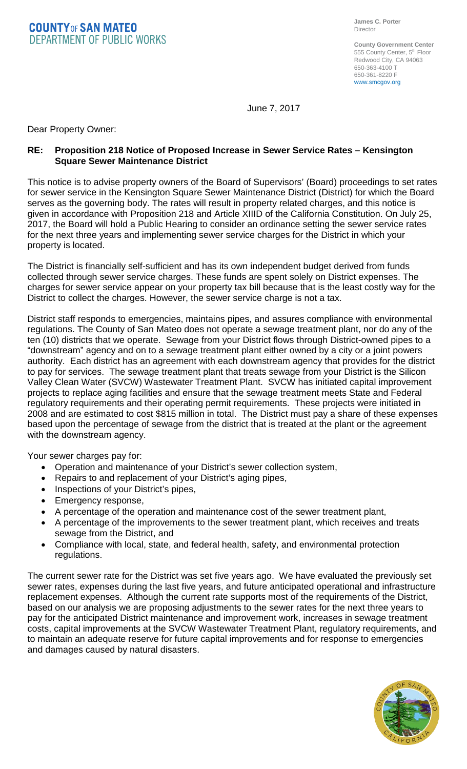**COUNTYOF SAN MATEO DEPARTMENT OF PUBLIC WORKS** 

**County Government Center** 555 County Center, 5<sup>th</sup> Floor Redwood City, CA 94063 650-363-4100 T 650-361-8220 F www.smcgov.org

June 7, 2017

Dear Property Owner:

## **RE: Proposition 218 Notice of Proposed Increase in Sewer Service Rates – Kensington Square Sewer Maintenance District**

This notice is to advise property owners of the Board of Supervisors' (Board) proceedings to set rates for sewer service in the Kensington Square Sewer Maintenance District (District) for which the Board serves as the governing body. The rates will result in property related charges, and this notice is given in accordance with Proposition 218 and Article XIIID of the California Constitution. On July 25, 2017, the Board will hold a Public Hearing to consider an ordinance setting the sewer service rates for the next three years and implementing sewer service charges for the District in which your property is located.

The District is financially self-sufficient and has its own independent budget derived from funds collected through sewer service charges. These funds are spent solely on District expenses. The charges for sewer service appear on your property tax bill because that is the least costly way for the District to collect the charges. However, the sewer service charge is not a tax.

District staff responds to emergencies, maintains pipes, and assures compliance with environmental regulations. The County of San Mateo does not operate a sewage treatment plant, nor do any of the ten (10) districts that we operate. Sewage from your District flows through District-owned pipes to a "downstream" agency and on to a sewage treatment plant either owned by a city or a joint powers authority. Each district has an agreement with each downstream agency that provides for the district to pay for services. The sewage treatment plant that treats sewage from your District is the Silicon Valley Clean Water (SVCW) Wastewater Treatment Plant. SVCW has initiated capital improvement projects to replace aging facilities and ensure that the sewage treatment meets State and Federal regulatory requirements and their operating permit requirements. These projects were initiated in 2008 and are estimated to cost \$815 million in total. The District must pay a share of these expenses based upon the percentage of sewage from the district that is treated at the plant or the agreement with the downstream agency.

Your sewer charges pay for:

- Operation and maintenance of your District's sewer collection system,
- Repairs to and replacement of your District's aging pipes,
- Inspections of your District's pipes,
- Emergency response,
- A percentage of the operation and maintenance cost of the sewer treatment plant,
- A percentage of the improvements to the sewer treatment plant, which receives and treats sewage from the District, and
- Compliance with local, state, and federal health, safety, and environmental protection regulations.

The current sewer rate for the District was set five years ago. We have evaluated the previously set sewer rates, expenses during the last five years, and future anticipated operational and infrastructure replacement expenses. Although the current rate supports most of the requirements of the District, based on our analysis we are proposing adjustments to the sewer rates for the next three years to pay for the anticipated District maintenance and improvement work, increases in sewage treatment costs, capital improvements at the SVCW Wastewater Treatment Plant, regulatory requirements, and to maintain an adequate reserve for future capital improvements and for response to emergencies and damages caused by natural disasters.